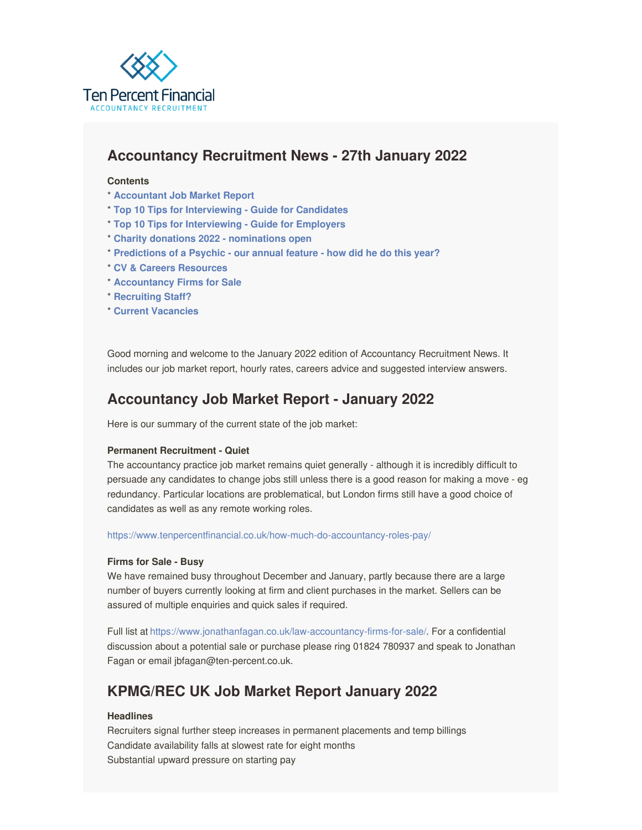<span id="page-0-0"></span>

# **Accountancy Recruitment News - 27th January 2022**

### **Contents**

- \* **[Accountant](#page-0-0) Job Market Report**
- \* **Top 10 Tips for [Interviewing](#page-0-0) - Guide for Candidates**
- \* **Top 10 Tips for [Interviewing](#page-0-0) - Guide for Employers**
- \* **Charity donations 2022 - [nominations](#page-0-0) open**
- \* **[Predictions](#page-0-0) of a Psychic - our annual feature - how did he do this year?**
- \* **CV & Careers [Resources](#page-0-0)**
- \* **[Accountancy](https://www.jonathanfagan.co.uk/law-accountancy-firms-for-sale/) Firms for Sale**
- \* **[Recruiting](https://www.tenpercentfinancial.co.uk/register-a-vacancy/) Staff?**
- \* **Current [Vacancies](https://www.tenpercentfinancial.co.uk/vacancies/)**

Good morning and welcome to the January 2022 edition of Accountancy Recruitment News. It includes our job market report, hourly rates, careers advice and suggested interview answers.

# **Accountancy Job Market Report - January 2022**

Here is our summary of the current state of the job market:

#### **Permanent Recruitment - Quiet**

The accountancy practice job market remains quiet generally - although it is incredibly difficult to persuade any candidates to change jobs still unless there is a good reason for making a move - eg redundancy. Particular locations are problematical, but London firms still have a good choice of candidates as well as any remote working roles.

### <https://www.tenpercentfinancial.co.uk/how-much-do-accountancy-roles-pay/>

#### **Firms for Sale - Busy**

We have remained busy throughout December and January, partly because there are a large number of buyers currently looking at firm and client purchases in the market. Sellers can be assured of multiple enquiries and quick sales if required.

Full list at <https://www.jonathanfagan.co.uk/law-accountancy-firms-for-sale/>. For a confidential discussion about a potential sale or purchase please ring 01824 780937 and speak to Jonathan Fagan or email jbfagan@ten-percent.co.uk.

# **KPMG/REC UK Job Market Report January 2022**

#### **Headlines**

Recruiters signal further steep increases in permanent placements and temp billings Candidate availability falls at slowest rate for eight months Substantial upward pressure on starting pay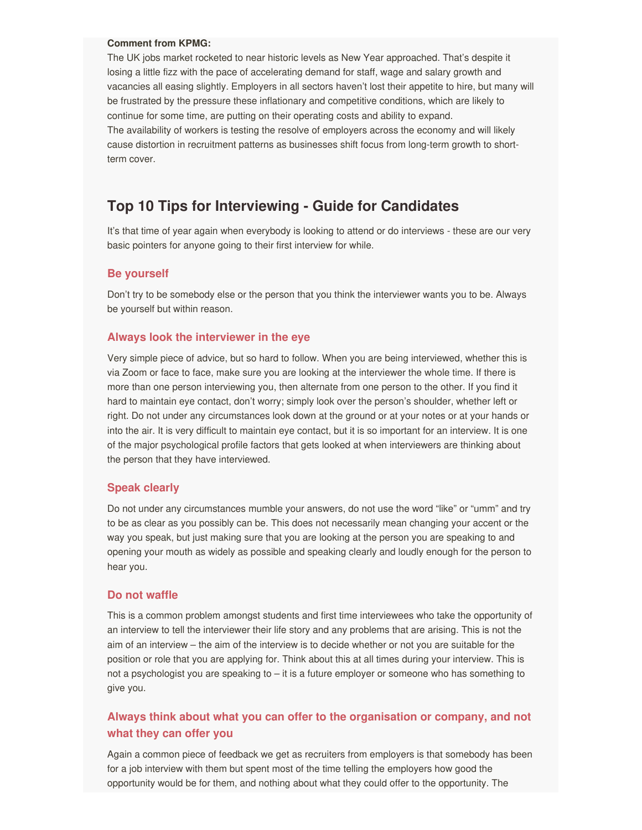#### **Comment from KPMG:**

The UK jobs market rocketed to near historic levels as New Year approached. That's despite it losing a little fizz with the pace of accelerating demand for staff, wage and salary growth and vacancies all easing slightly. Employers in all sectors haven't lost their appetite to hire, but many will be frustrated by the pressure these inflationary and competitive conditions, which are likely to continue for some time, are putting on their operating costs and ability to expand.

The availability of workers is testing the resolve of employers across the economy and will likely cause distortion in recruitment patterns as businesses shift focus from long-term growth to shortterm cover.

# **Top 10 Tips for Interviewing - Guide for Candidates**

It's that time of year again when everybody is looking to attend or do interviews - these are our very basic pointers for anyone going to their first interview for while.

### **Be yourself**

Don't try to be somebody else or the person that you think the interviewer wants you to be. Always be yourself but within reason.

### **Always look the interviewer in the eye**

Very simple piece of advice, but so hard to follow. When you are being interviewed, whether this is via Zoom or face to face, make sure you are looking at the interviewer the whole time. If there is more than one person interviewing you, then alternate from one person to the other. If you find it hard to maintain eye contact, don't worry; simply look over the person's shoulder, whether left or right. Do not under any circumstances look down at the ground or at your notes or at your hands or into the air. It is very difficult to maintain eye contact, but it is so important for an interview. It is one of the major psychological profile factors that gets looked at when interviewers are thinking about the person that they have interviewed.

### **Speak clearly**

Do not under any circumstances mumble your answers, do not use the word "like" or "umm" and try to be as clear as you possibly can be. This does not necessarily mean changing your accent or the way you speak, but just making sure that you are looking at the person you are speaking to and opening your mouth as widely as possible and speaking clearly and loudly enough for the person to hear you.

### **Do not waffle**

This is a common problem amongst students and first time interviewees who take the opportunity of an interview to tell the interviewer their life story and any problems that are arising. This is not the aim of an interview – the aim of the interview is to decide whether or not you are suitable for the position or role that you are applying for. Think about this at all times during your interview. This is not a psychologist you are speaking to – it is a future employer or someone who has something to give you.

### **Always think about what you can offer to the organisation or company, and not what they can offer you**

Again a common piece of feedback we get as recruiters from employers is that somebody has been for a job interview with them but spent most of the time telling the employers how good the opportunity would be for them, and nothing about what they could offer to the opportunity. The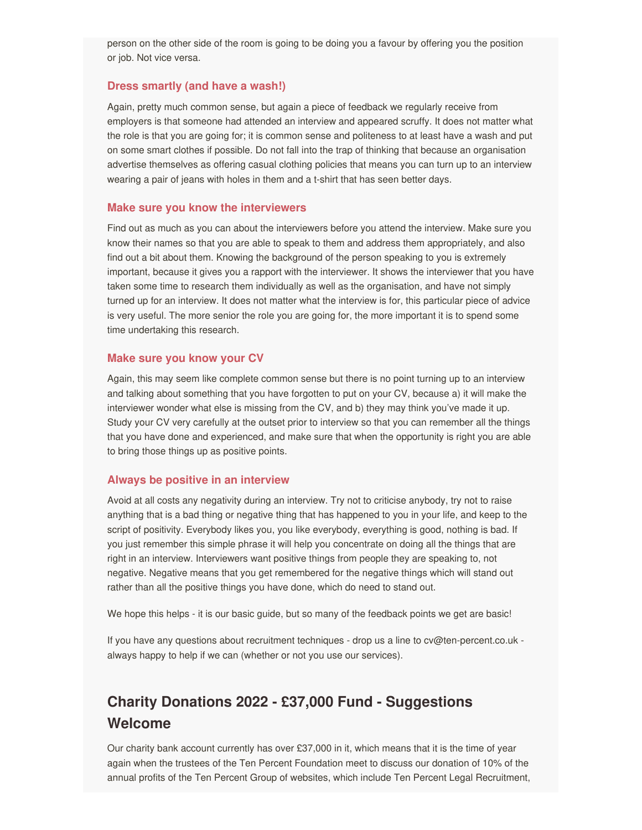person on the other side of the room is going to be doing you a favour by offering you the position or job. Not vice versa.

### **Dress smartly (and have a wash!)**

Again, pretty much common sense, but again a piece of feedback we regularly receive from employers is that someone had attended an interview and appeared scruffy. It does not matter what the role is that you are going for; it is common sense and politeness to at least have a wash and put on some smart clothes if possible. Do not fall into the trap of thinking that because an organisation advertise themselves as offering casual clothing policies that means you can turn up to an interview wearing a pair of jeans with holes in them and a t-shirt that has seen better days.

### **Make sure you know the interviewers**

Find out as much as you can about the interviewers before you attend the interview. Make sure you know their names so that you are able to speak to them and address them appropriately, and also find out a bit about them. Knowing the background of the person speaking to you is extremely important, because it gives you a rapport with the interviewer. It shows the interviewer that you have taken some time to research them individually as well as the organisation, and have not simply turned up for an interview. It does not matter what the interview is for, this particular piece of advice is very useful. The more senior the role you are going for, the more important it is to spend some time undertaking this research.

### **Make sure you know your CV**

Again, this may seem like complete common sense but there is no point turning up to an interview and talking about something that you have forgotten to put on your CV, because a) it will make the interviewer wonder what else is missing from the CV, and b) they may think you've made it up. Study your CV very carefully at the outset prior to interview so that you can remember all the things that you have done and experienced, and make sure that when the opportunity is right you are able to bring those things up as positive points.

### **Always be positive in an interview**

Avoid at all costs any negativity during an interview. Try not to criticise anybody, try not to raise anything that is a bad thing or negative thing that has happened to you in your life, and keep to the script of positivity. Everybody likes you, you like everybody, everything is good, nothing is bad. If you just remember this simple phrase it will help you concentrate on doing all the things that are right in an interview. Interviewers want positive things from people they are speaking to, not negative. Negative means that you get remembered for the negative things which will stand out rather than all the positive things you have done, which do need to stand out.

We hope this helps - it is our basic guide, but so many of the feedback points we get are basic!

If you have any questions about recruitment techniques - drop us a line to cv@ten-percent.co.uk always happy to help if we can (whether or not you use our services).

# **Charity Donations 2022 - £37,000 Fund - Suggestions Welcome**

Our charity bank account currently has over £37,000 in it, which means that it is the time of year again when the trustees of the Ten Percent Foundation meet to discuss our donation of 10% of the annual profits of the Ten Percent Group of websites, which include Ten Percent Legal Recruitment,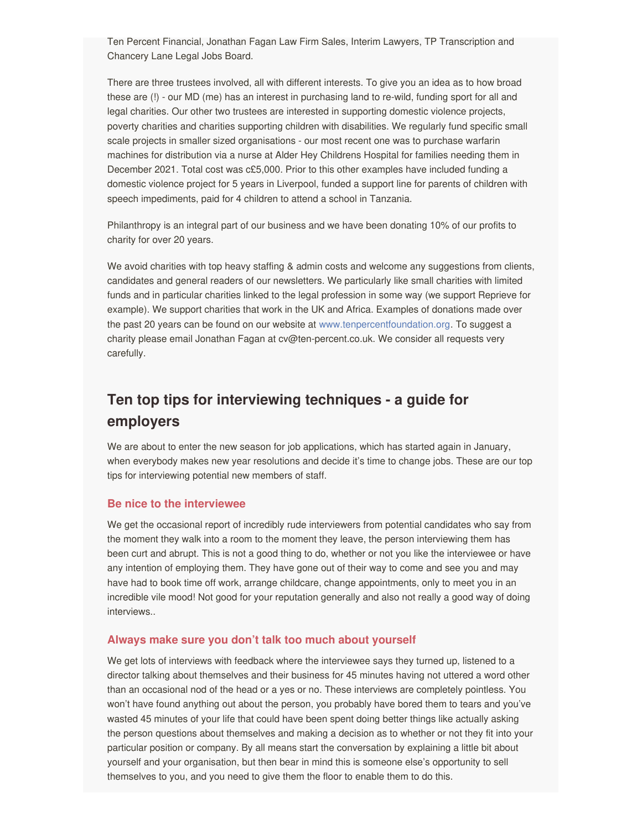Ten Percent Financial, Jonathan Fagan Law Firm Sales, Interim Lawyers, TP Transcription and Chancery Lane Legal Jobs Board.

There are three trustees involved, all with different interests. To give you an idea as to how broad these are (!) - our MD (me) has an interest in purchasing land to re-wild, funding sport for all and legal charities. Our other two trustees are interested in supporting domestic violence projects, poverty charities and charities supporting children with disabilities. We regularly fund specific small scale projects in smaller sized organisations - our most recent one was to purchase warfarin machines for distribution via a nurse at Alder Hey Childrens Hospital for families needing them in December 2021. Total cost was c£5,000. Prior to this other examples have included funding a domestic violence project for 5 years in Liverpool, funded a support line for parents of children with speech impediments, paid for 4 children to attend a school in Tanzania.

Philanthropy is an integral part of our business and we have been donating 10% of our profits to charity for over 20 years.

We avoid charities with top heavy staffing & admin costs and welcome any suggestions from clients, candidates and general readers of our newsletters. We particularly like small charities with limited funds and in particular charities linked to the legal profession in some way (we support Reprieve for example). We support charities that work in the UK and Africa. Examples of donations made over the past 20 years can be found on our website at [www.tenpercentfoundation.org](http://www.tenpercentfoundation.org). To suggest a charity please email Jonathan Fagan at cv@ten-percent.co.uk. We consider all requests very carefully.

# **Ten top tips for interviewing techniques - a guide for employers**

We are about to enter the new season for job applications, which has started again in January, when everybody makes new year resolutions and decide it's time to change jobs. These are our top tips for interviewing potential new members of staff.

### **Be nice to the interviewee**

We get the occasional report of incredibly rude interviewers from potential candidates who say from the moment they walk into a room to the moment they leave, the person interviewing them has been curt and abrupt. This is not a good thing to do, whether or not you like the interviewee or have any intention of employing them. They have gone out of their way to come and see you and may have had to book time off work, arrange childcare, change appointments, only to meet you in an incredible vile mood! Not good for your reputation generally and also not really a good way of doing interviews..

### **Always make sure you don't talk too much about yourself**

We get lots of interviews with feedback where the interviewee says they turned up, listened to a director talking about themselves and their business for 45 minutes having not uttered a word other than an occasional nod of the head or a yes or no. These interviews are completely pointless. You won't have found anything out about the person, you probably have bored them to tears and you've wasted 45 minutes of your life that could have been spent doing better things like actually asking the person questions about themselves and making a decision as to whether or not they fit into your particular position or company. By all means start the conversation by explaining a little bit about yourself and your organisation, but then bear in mind this is someone else's opportunity to sell themselves to you, and you need to give them the floor to enable them to do this.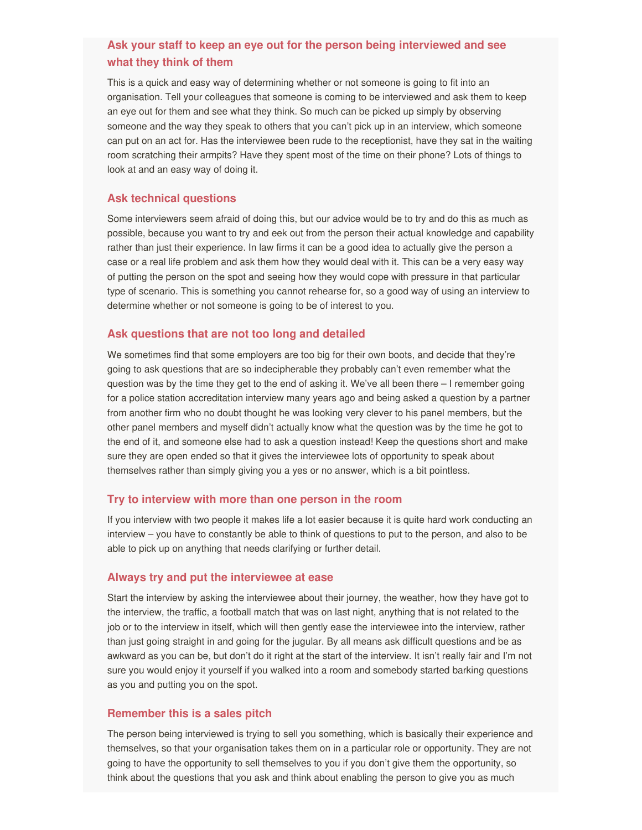### **Ask your staff to keep an eye out for the person being interviewed and see what they think of them**

This is a quick and easy way of determining whether or not someone is going to fit into an organisation. Tell your colleagues that someone is coming to be interviewed and ask them to keep an eye out for them and see what they think. So much can be picked up simply by observing someone and the way they speak to others that you can't pick up in an interview, which someone can put on an act for. Has the interviewee been rude to the receptionist, have they sat in the waiting room scratching their armpits? Have they spent most of the time on their phone? Lots of things to look at and an easy way of doing it.

### **Ask technical questions**

Some interviewers seem afraid of doing this, but our advice would be to try and do this as much as possible, because you want to try and eek out from the person their actual knowledge and capability rather than just their experience. In law firms it can be a good idea to actually give the person a case or a real life problem and ask them how they would deal with it. This can be a very easy way of putting the person on the spot and seeing how they would cope with pressure in that particular type of scenario. This is something you cannot rehearse for, so a good way of using an interview to determine whether or not someone is going to be of interest to you.

### **Ask questions that are not too long and detailed**

We sometimes find that some employers are too big for their own boots, and decide that they're going to ask questions that are so indecipherable they probably can't even remember what the question was by the time they get to the end of asking it. We've all been there – I remember going for a police station accreditation interview many years ago and being asked a question by a partner from another firm who no doubt thought he was looking very clever to his panel members, but the other panel members and myself didn't actually know what the question was by the time he got to the end of it, and someone else had to ask a question instead! Keep the questions short and make sure they are open ended so that it gives the interviewee lots of opportunity to speak about themselves rather than simply giving you a yes or no answer, which is a bit pointless.

### **Try to interview with more than one person in the room**

If you interview with two people it makes life a lot easier because it is quite hard work conducting an interview – you have to constantly be able to think of questions to put to the person, and also to be able to pick up on anything that needs clarifying or further detail.

#### **Always try and put the interviewee at ease**

Start the interview by asking the interviewee about their journey, the weather, how they have got to the interview, the traffic, a football match that was on last night, anything that is not related to the job or to the interview in itself, which will then gently ease the interviewee into the interview, rather than just going straight in and going for the jugular. By all means ask difficult questions and be as awkward as you can be, but don't do it right at the start of the interview. It isn't really fair and I'm not sure you would enjoy it yourself if you walked into a room and somebody started barking questions as you and putting you on the spot.

### **Remember this is a sales pitch**

The person being interviewed is trying to sell you something, which is basically their experience and themselves, so that your organisation takes them on in a particular role or opportunity. They are not going to have the opportunity to sell themselves to you if you don't give them the opportunity, so think about the questions that you ask and think about enabling the person to give you as much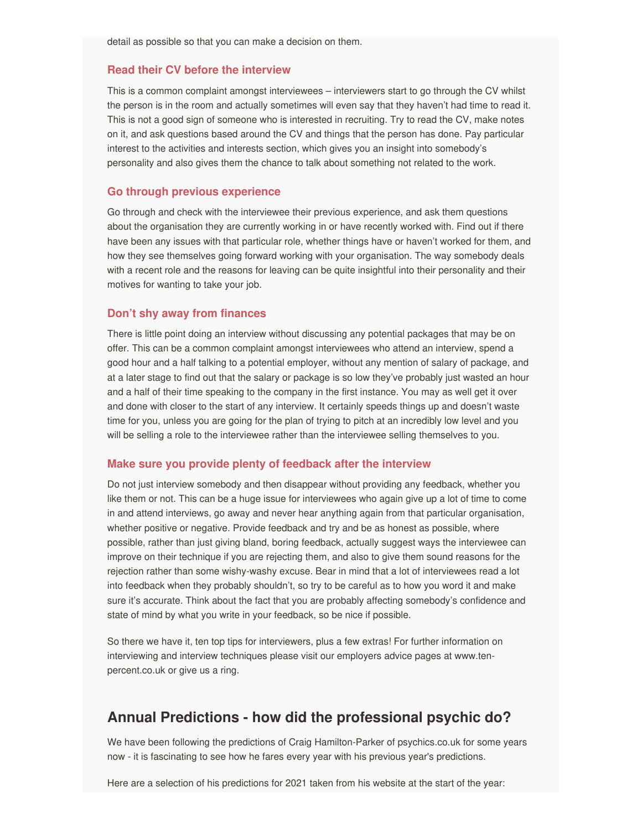detail as possible so that you can make a decision on them.

### **Read their CV before the interview**

This is a common complaint amongst interviewees – interviewers start to go through the CV whilst the person is in the room and actually sometimes will even say that they haven't had time to read it. This is not a good sign of someone who is interested in recruiting. Try to read the CV, make notes on it, and ask questions based around the CV and things that the person has done. Pay particular interest to the activities and interests section, which gives you an insight into somebody's personality and also gives them the chance to talk about something not related to the work.

### **Go through previous experience**

Go through and check with the interviewee their previous experience, and ask them questions about the organisation they are currently working in or have recently worked with. Find out if there have been any issues with that particular role, whether things have or haven't worked for them, and how they see themselves going forward working with your organisation. The way somebody deals with a recent role and the reasons for leaving can be quite insightful into their personality and their motives for wanting to take your job.

### **Don't shy away from finances**

There is little point doing an interview without discussing any potential packages that may be on offer. This can be a common complaint amongst interviewees who attend an interview, spend a good hour and a half talking to a potential employer, without any mention of salary of package, and at a later stage to find out that the salary or package is so low they've probably just wasted an hour and a half of their time speaking to the company in the first instance. You may as well get it over and done with closer to the start of any interview. It certainly speeds things up and doesn't waste time for you, unless you are going for the plan of trying to pitch at an incredibly low level and you will be selling a role to the interviewee rather than the interviewee selling themselves to you.

#### **Make sure you provide plenty of feedback after the interview**

Do not just interview somebody and then disappear without providing any feedback, whether you like them or not. This can be a huge issue for interviewees who again give up a lot of time to come in and attend interviews, go away and never hear anything again from that particular organisation, whether positive or negative. Provide feedback and try and be as honest as possible, where possible, rather than just giving bland, boring feedback, actually suggest ways the interviewee can improve on their technique if you are rejecting them, and also to give them sound reasons for the rejection rather than some wishy-washy excuse. Bear in mind that a lot of interviewees read a lot into feedback when they probably shouldn't, so try to be careful as to how you word it and make sure it's accurate. Think about the fact that you are probably affecting somebody's confidence and state of mind by what you write in your feedback, so be nice if possible.

So there we have it, ten top tips for interviewers, plus a few extras! For further information on interviewing and interview techniques please visit our employers advice pages at www.tenpercent.co.uk or give us a ring.

## **Annual Predictions - how did the professional psychic do?**

We have been following the predictions of Craig Hamilton-Parker of psychics.co.uk for some years now - it is fascinating to see how he fares every year with his previous year's predictions.

Here are a selection of his predictions for 2021 taken from his website at the start of the year: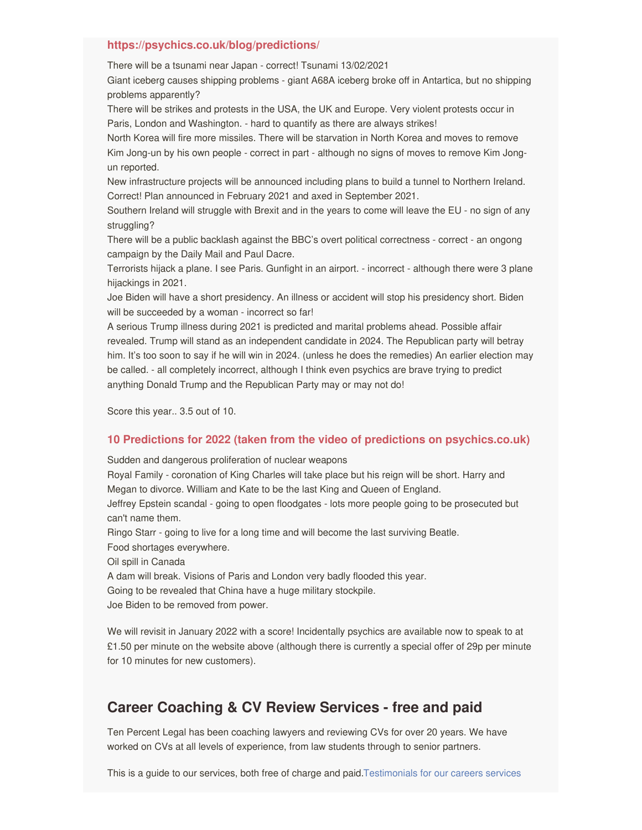### **https://psychics.co.uk/blog/predictions/**

There will be a tsunami near Japan - correct! Tsunami 13/02/2021

Giant iceberg causes shipping problems - giant A68A iceberg broke off in Antartica, but no shipping problems apparently?

There will be strikes and protests in the USA, the UK and Europe. Very violent protests occur in Paris, London and Washington. - hard to quantify as there are always strikes!

North Korea will fire more missiles. There will be starvation in North Korea and moves to remove Kim Jong-un by his own people - correct in part - although no signs of moves to remove Kim Jongun reported.

New infrastructure projects will be announced including plans to build a tunnel to Northern Ireland. Correct! Plan announced in February 2021 and axed in September 2021.

Southern Ireland will struggle with Brexit and in the years to come will leave the EU - no sign of any struggling?

There will be a public backlash against the BBC's overt political correctness - correct - an ongong campaign by the Daily Mail and Paul Dacre.

Terrorists hijack a plane. I see Paris. Gunfight in an airport. - incorrect - although there were 3 plane hijackings in 2021.

Joe Biden will have a short presidency. An illness or accident will stop his presidency short. Biden will be succeeded by a woman - incorrect so far!

A serious Trump illness during 2021 is predicted and marital problems ahead. Possible affair revealed. Trump will stand as an independent candidate in 2024. The Republican party will betray him. It's too soon to say if he will win in 2024. (unless he does the remedies) An earlier election may be called. - all completely incorrect, although I think even psychics are brave trying to predict anything Donald Trump and the Republican Party may or may not do!

Score this year.. 3.5 out of 10.

### **10 Predictions for 2022 (taken from the video of predictions on psychics.co.uk)**

Sudden and dangerous proliferation of nuclear weapons

Royal Family - coronation of King Charles will take place but his reign will be short. Harry and Megan to divorce. William and Kate to be the last King and Queen of England.

Jeffrey Epstein scandal - going to open floodgates - lots more people going to be prosecuted but can't name them.

Ringo Starr - going to live for a long time and will become the last surviving Beatle.

Food shortages everywhere.

Oil spill in Canada

A dam will break. Visions of Paris and London very badly flooded this year.

Going to be revealed that China have a huge military stockpile.

Joe Biden to be removed from power.

We will revisit in January 2022 with a score! Incidentally psychics are available now to speak to at £1.50 per minute on the website above (although there is currently a special offer of 29p per minute for 10 minutes for new customers).

# **Career Coaching & CV Review Services - free and paid**

Ten Percent Legal has been coaching lawyers and reviewing CVs for over 20 years. We have worked on CVs at all levels of experience, from law students through to senior partners.

This is a guide to our services, both free of charge and [paid.Testimonials](https://www.ten-percent.co.uk/feedback/) for our careers services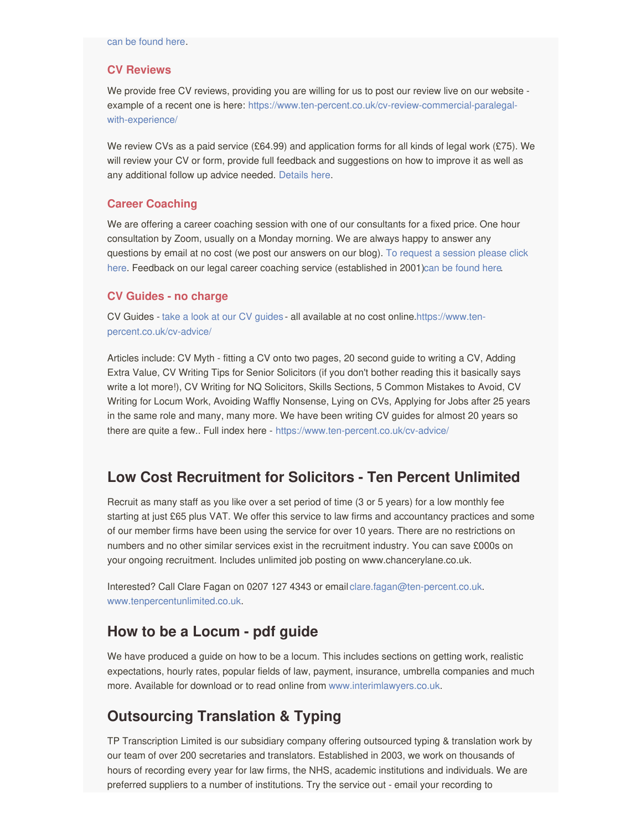### **CV Reviews**

We provide free CV reviews, providing you are willing for us to post our review live on our website example of a recent one is here: [https://www.ten-percent.co.uk/cv-review-commercial-paralegal](https://www.ten-percent.co.uk/cv-review-commercial-paralegal-with-experience/)with-experience/

We review CVs as a paid service (£64.99) and application forms for all kinds of legal work (£75). We will review your CV or form, provide full feedback and suggestions on how to improve it as well as any additional follow up advice needed. [Details](https://www.legalcareercoaching.co.uk/home/10-legal-cv-review.html) here.

### **Career Coaching**

We are offering a career coaching session with one of our consultants for a fixed price. One hour consultation by Zoom, usually on a Monday morning. We are always happy to answer any questions by email at no cost (we post our answers on our blog). To request a session please click here. Feedback on our legal career coaching service [\(established](https://www.ten-percent.co.uk/legal-career-coaching-quotation/) in 2001)can be [found](https://www.ten-percent.co.uk/feedback/) here.

### **CV Guides - no charge**

CV Guides - take a look at our CV [guides](https://www.ten-percent.co.uk/cv-advice/)- all available at no cost [online.https://www.ten](https://www.ten-percent.co.uk/cv-advice/)percent.co.uk/cv-advice/

Articles include: CV Myth - fitting a CV onto two pages, 20 second guide to writing a CV, Adding Extra Value, CV Writing Tips for Senior Solicitors (if you don't bother reading this it basically says write a lot more!), CV Writing for NQ Solicitors, Skills Sections, 5 Common Mistakes to Avoid, CV Writing for Locum Work, Avoiding Waffly Nonsense, Lying on CVs, Applying for Jobs after 25 years in the same role and many, many more. We have been writing CV guides for almost 20 years so there are quite a few.. Full index here - <https://www.ten-percent.co.uk/cv-advice/>

# **Low Cost Recruitment for Solicitors - Ten Percent Unlimited**

Recruit as many staff as you like over a set period of time (3 or 5 years) for a low monthly fee starting at just £65 plus VAT. We offer this service to law firms and accountancy practices and some of our member firms have been using the service for over 10 years. There are no restrictions on numbers and no other similar services exist in the recruitment industry. You can save £000s on your ongoing recruitment. Includes unlimited job posting on www.chancerylane.co.uk.

Interested? Call Clare Fagan on 0207 127 4343 or email[clare.fagan@ten-percent.co.uk](mailto:clare.fagan@ten-percent.co.uk). [www.tenpercentunlimited.co.uk](https://www.tenpercentunlimited.co.uk).

# **How to be a Locum - pdf guide**

We have produced a guide on how to be a locum. This includes sections on getting work, realistic expectations, hourly rates, popular fields of law, payment, insurance, umbrella companies and much more. Available for download or to read online from [www.interimlawyers.co.uk](http://www.interimlawyers.co.uk).

# **Outsourcing Translation & Typing**

TP Transcription Limited is our subsidiary company offering outsourced typing & translation work by our team of over 200 secretaries and translators. Established in 2003, we work on thousands of hours of recording every year for law firms, the NHS, academic institutions and individuals. We are preferred suppliers to a number of institutions. Try the service out - email your recording to